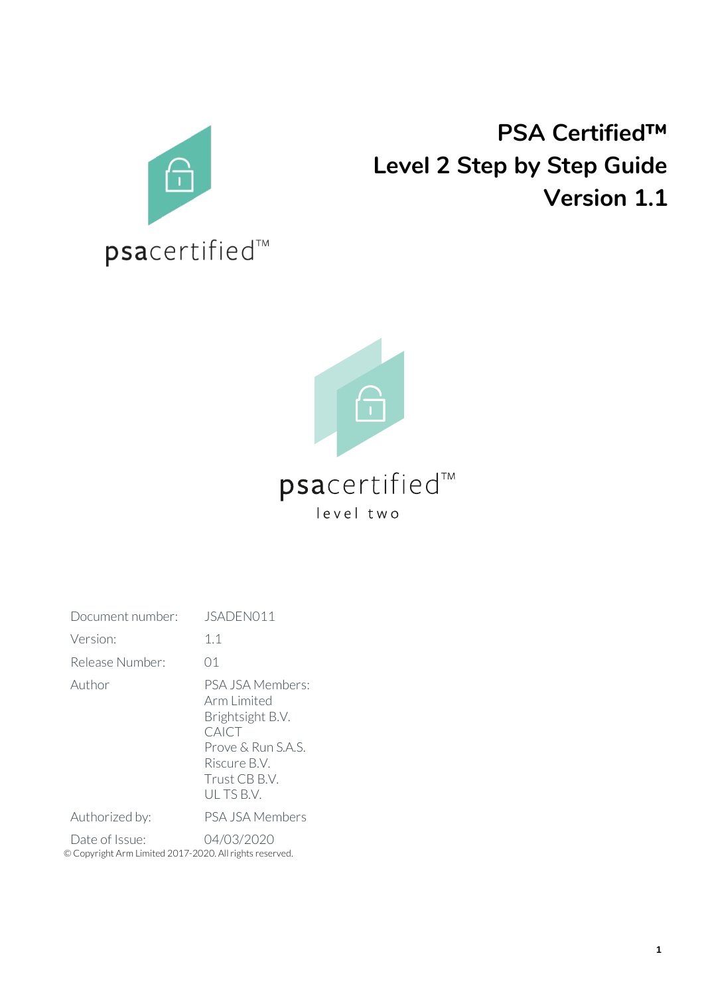

# **PSA Certified™ Level 2 Step by Step Guide Version 1.1**

**1**



## psacertified™ level two

| Document number:                                                                        | JSADEN011                                                                                                                        |
|-----------------------------------------------------------------------------------------|----------------------------------------------------------------------------------------------------------------------------------|
| Version:                                                                                | 1.1                                                                                                                              |
| Release Number:                                                                         | 01                                                                                                                               |
| Author                                                                                  | PSA JSA Members:<br>Arm Limited<br>Brightsight B.V.<br>CAICT<br>Prove & Run S.A.S.<br>Riscure B.V.<br>Trust CB B.V.<br>ULTS B.V. |
| Authorized by:                                                                          | <b>PSA JSA Members</b>                                                                                                           |
| 04/03/2020<br>Date of Issue:<br>© Copyright Arm Limited 2017-2020. All rights reserved. |                                                                                                                                  |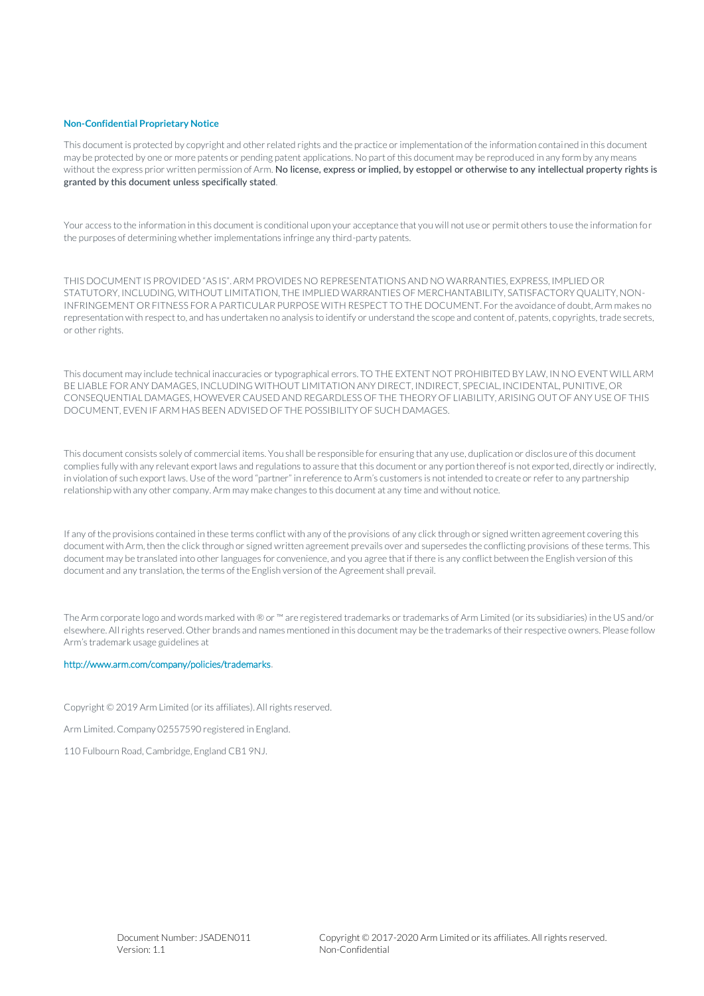#### **Non-Confidential Proprietary Notice**

This document is protected by copyright and other related rights and the practice or implementation of the information contained in this document may be protected by one or more patents or pending patent applications. No part of this document may be reproduced in any form by any means without the express prior written permission of Arm. No license, express or implied, by estoppel or otherwise to any intellectual property rights is granted by this document unless specifically stated.

Your access to the information in this document is conditional upon your acceptance that you will not use or permit others to use the information for the purposes of determining whether implementations infringe any third-party patents.

THIS DOCUMENT IS PROVIDED "AS IS". ARM PROVIDES NO REPRESENTATIONS AND NO WARRANTIES, EXPRESS, IMPLIED OR STATUTORY, INCLUDING, WITHOUT LIMITATION, THE IMPLIED WARRANTIES OF MERCHANTABILITY, SATISFACTORY QUALITY, NON-INFRINGEMENT OR FITNESS FOR A PARTICULAR PURPOSE WITH RESPECT TO THE DOCUMENT. For the avoidance of doubt, Arm makes no representation with respect to, and has undertaken no analysis to identify or understand the scope and content of, patents, copyrights, trade secrets, or other rights.

This document may include technical inaccuracies or typographical errors. TO THE EXTENT NOT PROHIBITED BY LAW, IN NO EVENT WILL ARM BE LIABLE FOR ANY DAMAGES, INCLUDING WITHOUT LIMITATION ANY DIRECT, INDIRECT, SPECIAL, INCIDENTAL, PUNITIVE, OR CONSEQUENTIAL DAMAGES, HOWEVER CAUSED AND REGARDLESS OF THE THEORY OF LIABILITY, ARISING OUT OF ANY USE OF THIS DOCUMENT, EVEN IF ARM HAS BEEN ADVISED OF THE POSSIBILITY OF SUCH DAMAGES.

This document consists solely of commercial items. You shall be responsible for ensuring that any use, duplication or disclosure of this document complies fully with any relevant export laws and regulations to assure that this document or any portion thereof is not exported, directly or indirectly, in violation of such export laws. Use of the word "partner" in reference to Arm's customers is not intended to create or refer to any partnership relationship with any other company. Arm may make changes to this document at any time and without notice.

If any of the provisions contained in these terms conflict with any of the provisions of any click through or signed written agreement covering this document with Arm, then the click through or signed written agreement prevails over and supersedes the conflicting provisions of these terms. This document may be translated into other languages for convenience, and you agree that if there is any conflict between the English version of this document and any translation, the terms of the English version of the Agreement shall prevail.

The Arm corporate logo and words marked with ® or ™ are registered trademarks or trademarks of Arm Limited (or its subsidiaries) in the US and/or elsewhere. All rights reserved. Other brands and names mentioned in this document may be the trademarks of their respective owners. Please follow Arm's trademark usage guidelines at

#### [http://www.arm.com/company/policies/trademarks.](http://www.arm.com/company/policies/trademarks)

Copyright © 2019 Arm Limited (or its affiliates). All rights reserved.

Arm Limited. Company 02557590 registered in England.

110 Fulbourn Road, Cambridge, England CB1 9NJ.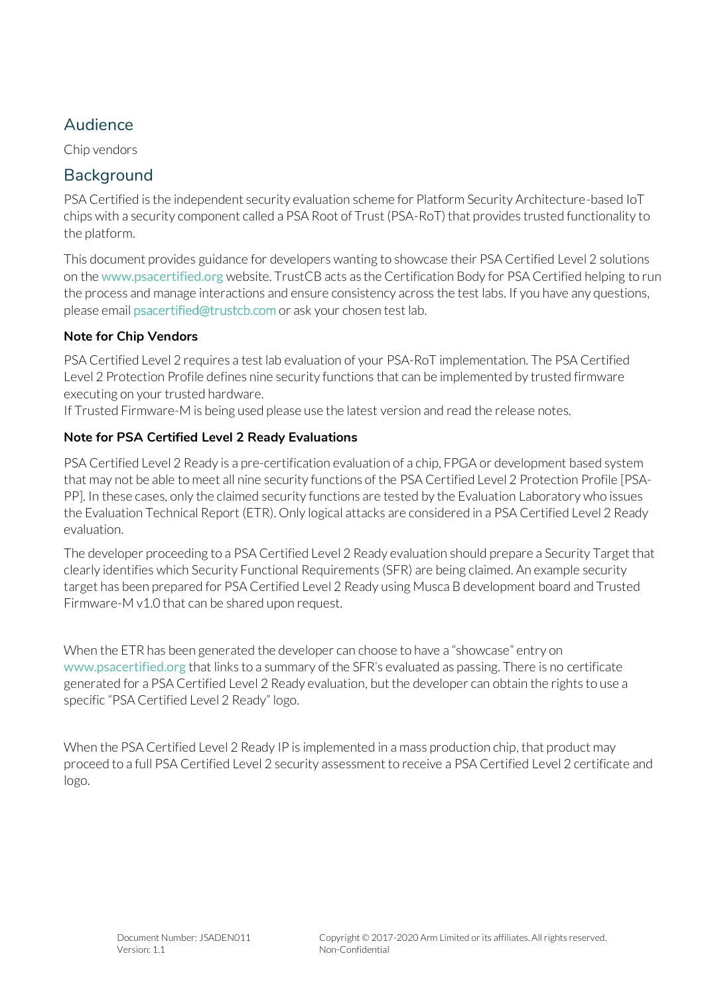### Audience

Chip vendors

#### **Background**

PSA Certified is the independent security evaluation scheme for Platform Security Architecture-based IoT chips with a security component called a PSA Root of Trust (PSA-RoT) that provides trusted functionality to the platform.

This document provides guidance for developers wanting to showcase their PSA Certified Level 2 solutions on the www.psacertified.org website. TrustCB acts as the Certification Body for PSA Certified helping to run the process and manage interactions and ensure consistency across the test labs. If you have any questions, please email [psacertified@trustcb.com](mailto:psacertified@trustcb.com) or ask your chosen test lab.

#### **Note for Chip Vendors**

PSA Certified Level 2 requires a test lab evaluation of your PSA-RoT implementation. The PSA Certified Level 2 Protection Profile defines nine security functions that can be implemented by trusted firmware executing on your trusted hardware.

If Trusted Firmware-M is being used please use the latest version and read the release notes.

#### **Note for PSA Certified Level 2 Ready Evaluations**

PSA Certified Level 2 Ready is a pre-certification evaluation of a chip, FPGA or development based system that may not be able to meet all nine security functions of the PSA Certified Level 2 Protection Profile [PSA-PP]. In these cases, only the claimed security functions are tested by the Evaluation Laboratory who issues the Evaluation Technical Report (ETR). Only logical attacks are considered in a PSA Certified Level 2 Ready evaluation.

The developer proceeding to a PSA Certified Level 2 Ready evaluation should prepare a Security Target that clearly identifies which Security Functional Requirements (SFR) are being claimed. An example security target has been prepared for PSA Certified Level 2 Ready using Musca B development board and Trusted Firmware-M v1.0 that can be shared upon request.

When the ETR has been generated the developer can choose to have a "showcase" entry on [www.psacertified.org](http://www.psacertified.org/) that links to a summary of the SFR's evaluated as passing. There is no certificate generated for a PSA Certified Level 2 Ready evaluation, but the developer can obtain the rights to use a specific "PSA Certified Level 2 Ready" logo.

When the PSA Certified Level 2 Ready IP is implemented in a mass production chip, that product may proceed to a full PSA Certified Level 2 security assessment to receive a PSA Certified Level 2 certificate and logo.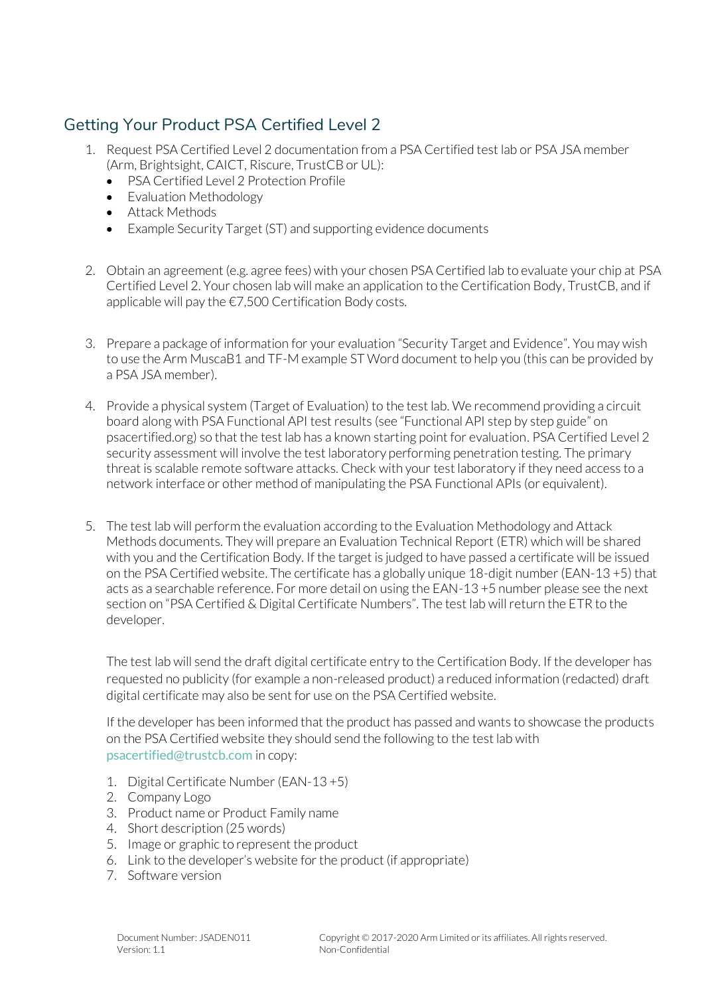## Getting Your Product PSA Certified Level 2

- 1. Request PSA Certified Level 2 documentation from a PSA Certified test lab or PSA JSA member (Arm, Brightsight, CAICT, Riscure, TrustCB or UL):
	- PSA Certified Level 2 Protection Profile
	- Evaluation Methodology
	- Attack Methods
	- Example Security Target (ST) and supporting evidence documents
- 2. Obtain an agreement (e.g. agree fees) with your chosen PSA Certified lab to evaluate your chip at PSA Certified Level 2. Your chosen lab will make an application to the Certification Body, TrustCB, and if applicable will pay the €7,500 Certification Body costs.
- 3. Prepare a package of information for your evaluation "Security Target and Evidence". You may wish to use the Arm MuscaB1 and TF-M example ST Word document to help you (this can be provided by a PSA JSA member).
- 4. Provide a physical system (Target of Evaluation) to the test lab. We recommend providing a circuit board along with PSA Functional API test results (see "Functional API step by step guide" on psacertified.org) so that the test lab has a known starting point for evaluation. PSA Certified Level 2 security assessment will involve the test laboratory performing penetration testing. The primary threat is scalable remote software attacks. Check with your test laboratory if they need access to a network interface or other method of manipulating the PSA Functional APIs (or equivalent).
- 5. The test lab will perform the evaluation according to the Evaluation Methodology and Attack Methods documents. They will prepare an Evaluation Technical Report (ETR) which will be shared with you and the Certification Body. If the target is judged to have passed a certificate will be issued on the PSA Certified website. The certificate has a globally unique 18-digit number (EAN-13 +5) that acts as a searchable reference. For more detail on using the EAN-13 +5 number please see the next section on "PSA Certified & Digital Certificate Numbers". The test lab will return the ETR to the developer.

The test lab will send the draft digital certificate entry to the Certification Body. If the developer has requested no publicity (for example a non-released product) a reduced information (redacted) draft digital certificate may also be sent for use on the PSA Certified website.

If the developer has been informed that the product has passed and wants to showcase the products on the PSA Certified website they should send the following to the test lab with [psacertified@trustcb.com](mailto:psacertified@trustcb.com) in copy:

- 1. Digital Certificate Number (EAN-13 +5)
- 2. Company Logo
- 3. Product name or Product Family name
- 4. Short description (25 words)
- 5. Image or graphic to represent the product
- 6. Link to the developer's website for the product (if appropriate)
- 7. Software version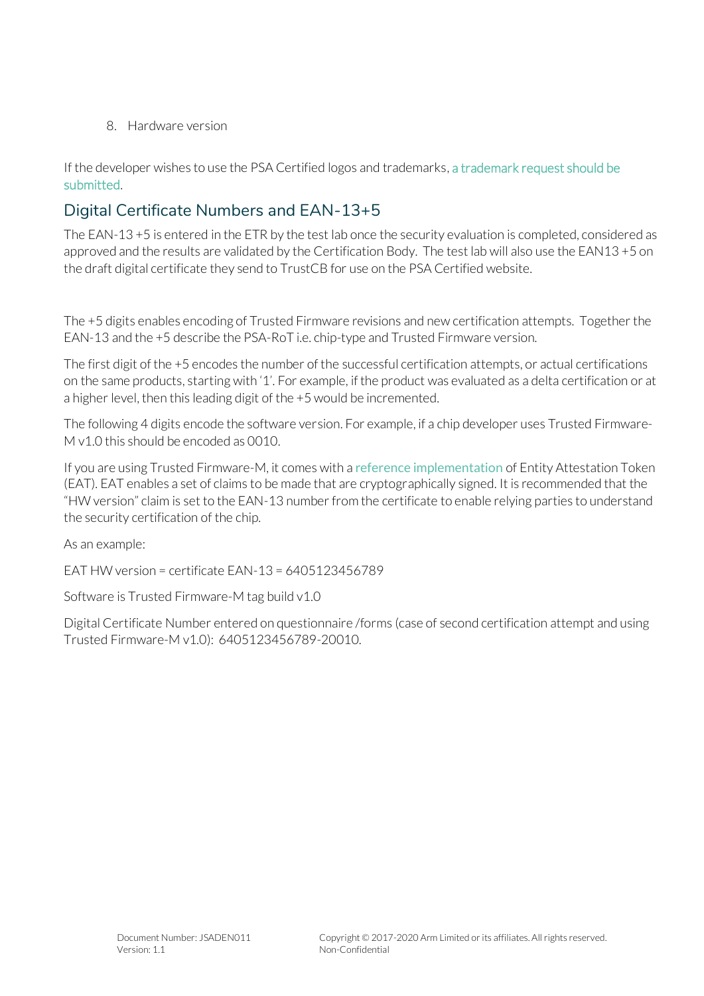8. Hardware version

If the developer wishes to use the PSA Certified logos and trademarks, [a trademark request should be](https://www.psacertified.org/legal/trademark-usage-request/)  [submitted.](https://www.psacertified.org/legal/trademark-usage-request/)

### Digital Certificate Numbers and EAN-13+5

The EAN-13 +5 is entered in the ETR by the test lab once the security evaluation is completed, considered as approved and the results are validated by the Certification Body. The test lab will also use the EAN13 +5 on the draft digital certificate they send to TrustCB for use on the PSA Certified website.

The +5 digits enables encoding of Trusted Firmware revisions and new certification attempts. Together the EAN-13 and the +5 describe the PSA-RoT i.e. chip-type and Trusted Firmware version.

The first digit of the +5 encodes the number of the successful certification attempts, or actual certifications on the same products, starting with '1'. For example, if the product was evaluated as a delta certification or at a higher level, then this leading digit of the +5 would be incremented.

The following 4 digits encode the software version. For example, if a chip developer uses Trusted Firmware-M v1.0 this should be encoded as 0010.

If you are using Trusted Firmware-M, it comes with a [reference implementation](https://github.com/ARM-software/psa-arch-tests/blob/master/api-specs/attestation/v1.0-beta0/include/psa/initial_attestation.h) of Entity Attestation Token (EAT). EAT enables a set of claims to be made that are cryptographically signed. It is recommended that the "HW version" claim is set to the EAN-13 number from the certificate to enable relying parties to understand the security certification of the chip.

As an example:

EAT HW version = certificate EAN-13 = 6405123456789

Software is Trusted Firmware-M tag build v1.0

Digital Certificate Number entered on questionnaire /forms (case of second certification attempt and using Trusted Firmware-M v1.0): 6405123456789-20010.